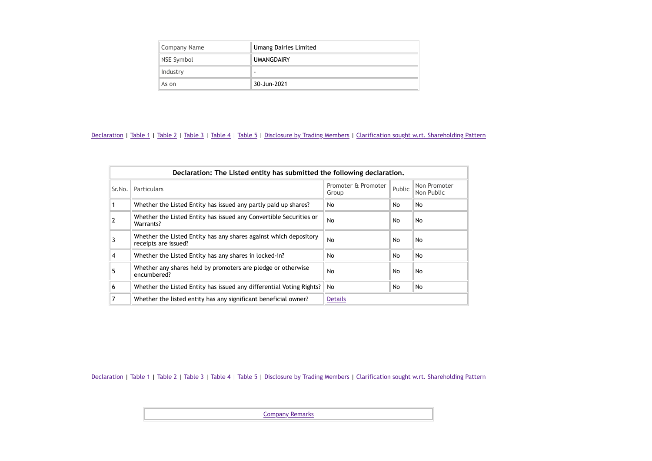| Company Name | <b>Umang Dairies Limited</b> |  |  |  |
|--------------|------------------------------|--|--|--|
| NSE Symbol   | <b>UMANGDAIRY</b>            |  |  |  |
| Industry     |                              |  |  |  |
| As on        | 30-Jun-2021                  |  |  |  |

|        | Declaration: The Listed entity has submitted the following declaration.                   |                              |        |                            |  |  |  |  |  |
|--------|-------------------------------------------------------------------------------------------|------------------------------|--------|----------------------------|--|--|--|--|--|
| Sr.No. | Particulars                                                                               | Promoter & Promoter<br>Group | Public | Non Promoter<br>Non Public |  |  |  |  |  |
|        | Whether the Listed Entity has issued any partly paid up shares?                           | No                           | No.    | No                         |  |  |  |  |  |
|        | Whether the Listed Entity has issued any Convertible Securities or<br>Warrants?           | N <sub>o</sub>               | No.    | No                         |  |  |  |  |  |
|        | Whether the Listed Entity has any shares against which depository<br>receipts are issued? | No.                          | No.    | No                         |  |  |  |  |  |
| 4      | Whether the Listed Entity has any shares in locked-in?                                    | No.                          | No.    | No                         |  |  |  |  |  |
| 5      | Whether any shares held by promoters are pledge or otherwise<br>encumbered?               | No.                          | No.    | No                         |  |  |  |  |  |
| 6      | Whether the Listed Entity has issued any differential Voting Rights?                      | No.                          | No.    | No                         |  |  |  |  |  |
|        | Whether the listed entity has any significant beneficial owner?                           | <b>Details</b>               |        |                            |  |  |  |  |  |

[Declaration](https://www1.nseindia.com/corporates/shldStructure/patterns.html?radio_btn=company¶m=UMANGDAIRY#) | [Table](https://www1.nseindia.com/corporates/shldStructure/patterns.html?radio_btn=company¶m=UMANGDAIRY#) 1 | Table 2 | Table 3 | Table 4 | Table 5 | [Disclosure](https://www1.nseindia.com/corporates/shldStructure/patterns.html?radio_btn=company¶m=UMANGDAIRY#) by Trading Members | Clarification sought w.rt. [Shareholding](https://www1.nseindia.com/corporates/shldStructure/patterns.html?radio_btn=company¶m=UMANGDAIRY#) Pattern

[Company](https://www1.nseindia.com/corporates/shldStructure/patterns.html?radio_btn=company¶m=UMANGDAIRY#) Remarks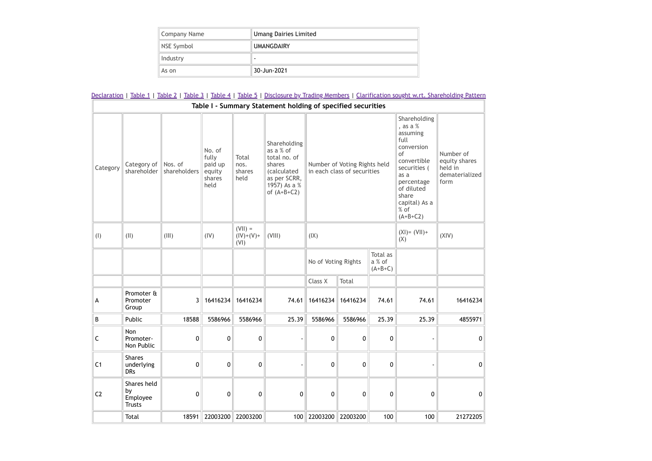| Company Name | <b>Umang Dairies Limited</b> |
|--------------|------------------------------|
| NSE Symbol   | <b>UMANGDAIRY</b>            |
| Industry     |                              |
| As on        | 30-Jun-2021                  |

|                |                                                |                         |                                                        |                                  |                                                                                                                             |                     |                                                             |                                 |                                                                                                                                                                                     | Declaration   Table 1   Table 2   Table 3   Table 4   Table 5   Disclosure by Trading Members   Clarification sought w.rt. Shareholding Patterr |
|----------------|------------------------------------------------|-------------------------|--------------------------------------------------------|----------------------------------|-----------------------------------------------------------------------------------------------------------------------------|---------------------|-------------------------------------------------------------|---------------------------------|-------------------------------------------------------------------------------------------------------------------------------------------------------------------------------------|-------------------------------------------------------------------------------------------------------------------------------------------------|
|                |                                                |                         |                                                        |                                  | Table I - Summary Statement holding of specified securities                                                                 |                     |                                                             |                                 |                                                                                                                                                                                     |                                                                                                                                                 |
| Category       | Category of<br>shareholder                     | Nos. of<br>shareholders | No. of<br>fully<br>paid up<br>equity<br>shares<br>held | Total<br>nos.<br>shares<br>held  | Shareholding<br>as a % of<br>total no. of<br>shares<br><i>(calculated)</i><br>as per SCRR,<br>1957) As a %<br>of $(A+B+C2)$ |                     | Number of Voting Rights held<br>in each class of securities |                                 | Shareholding<br>, as a %<br>assuming<br>full<br>conversion<br>of<br>convertible<br>securities (<br>as a<br>percentage<br>of diluted<br>share<br>capital) As a<br>% of<br>$(A+B+C2)$ | Number of<br>equity shares<br>held in<br>dematerialized<br>form                                                                                 |
| (1)            | (11)                                           | (III)                   | (IV)                                                   | $(VII) =$<br>$(IV)+(V)+$<br>(VI) | (VIII)                                                                                                                      | (IX)                |                                                             |                                 |                                                                                                                                                                                     | (XIV)                                                                                                                                           |
|                |                                                |                         |                                                        |                                  |                                                                                                                             | No of Voting Rights |                                                             | Total as<br>a % of<br>$(A+B+C)$ |                                                                                                                                                                                     |                                                                                                                                                 |
|                |                                                |                         |                                                        |                                  |                                                                                                                             | Class X             | Total                                                       |                                 |                                                                                                                                                                                     |                                                                                                                                                 |
| А              | Promoter &<br>Promoter<br>Group                | 3                       | 16416234                                               | 16416234                         | 74.61                                                                                                                       | 16416234            | 16416234                                                    | 74.61                           | 74.61                                                                                                                                                                               | 16416234                                                                                                                                        |
| B              | Public                                         | 18588                   | 5586966                                                | 5586966                          | 25.39                                                                                                                       | 5586966             | 5586966                                                     | 25.39                           | 25.39                                                                                                                                                                               | 4855971                                                                                                                                         |
| $\mathsf C$    | Non<br>Promoter-<br>Non Public                 | 0                       | 0                                                      | 0                                |                                                                                                                             | 0                   | 0                                                           | 0                               |                                                                                                                                                                                     | 0                                                                                                                                               |
| C <sub>1</sub> | <b>Shares</b><br>underlying<br><b>DRs</b>      | 0                       | 0                                                      | 0                                |                                                                                                                             | 0                   | 0                                                           | 0                               |                                                                                                                                                                                     | $\pmb{0}$                                                                                                                                       |
| C <sub>2</sub> | Shares held<br>by<br>Employee<br><b>Trusts</b> | 0                       | 0                                                      | 0                                | 0                                                                                                                           | 0                   | 0                                                           | 0                               | 0                                                                                                                                                                                   | 0                                                                                                                                               |
|                | Total                                          | 18591                   |                                                        | 22003200 22003200                | 100                                                                                                                         | 22003200            | 22003200                                                    | 100                             | 100                                                                                                                                                                                 | 21272205                                                                                                                                        |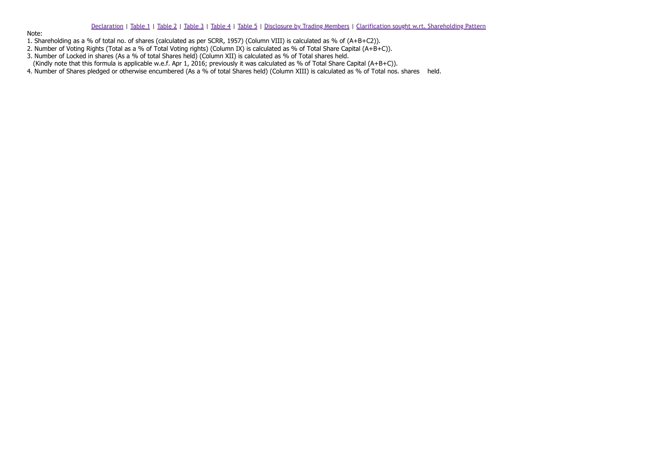### [Declaration](https://www1.nseindia.com/corporates/shldStructure/patterns.html?radio_btn=company¶m=UMANGDAIRY#) | [Table](https://www1.nseindia.com/corporates/shldStructure/patterns.html?radio_btn=company¶m=UMANGDAIRY#) 1 | [Table](https://www1.nseindia.com/corporates/shldStructure/patterns.html?radio_btn=company¶m=UMANGDAIRY#) 2 | [Table](https://www1.nseindia.com/corporates/shldStructure/patterns.html?radio_btn=company¶m=UMANGDAIRY#) 3 | [Table](https://www1.nseindia.com/corporates/shldStructure/patterns.html?radio_btn=company¶m=UMANGDAIRY#) 4 | [Table](https://www1.nseindia.com/corporates/shldStructure/patterns.html?radio_btn=company¶m=UMANGDAIRY#) 5 | [Disclosure](https://www1.nseindia.com/corporates/shldStructure/patterns.html?radio_btn=company¶m=UMANGDAIRY#) by Trading Members | Clarification sought w.rt. [Shareholding](https://www1.nseindia.com/corporates/shldStructure/patterns.html?radio_btn=company¶m=UMANGDAIRY#) Pattern

Note:

- 1. Shareholding as a % of total no. of shares (calculated as per SCRR, 1957) (Column VIII) is calculated as % of (A+B+C2)).
- 2. Number of Voting Rights (Total as a % of Total Voting rights) (Column IX) is calculated as % of Total Share Capital (A+B+C)).
- 3. Number of Locked in shares (As a % of total Shares held) (Column XII) is calculated as % of Total shares held.
- (Kindly note that this formula is applicable w.e.f. Apr 1, 2016; previously it was calculated as % of Total Share Capital (A+B+C)).
- 4. Number of Shares pledged or otherwise encumbered (As a % of total Shares held) (Column XIII) is calculated as % of Total nos. shares held.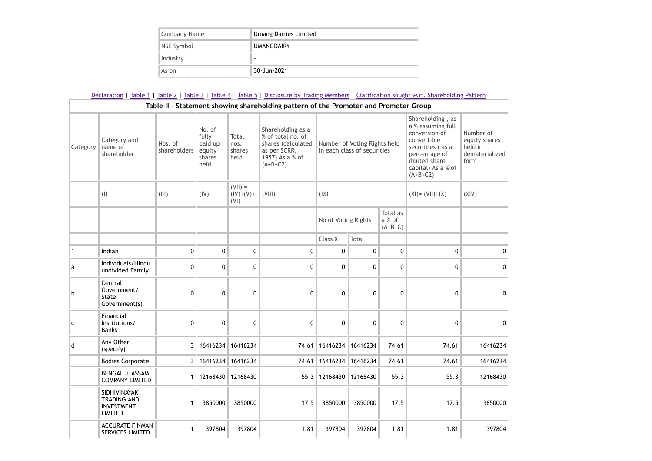| Company Name | <b>Umang Dairies Limited</b> |
|--------------|------------------------------|
| NSE Symbol   | <b>UMANGDAIRY</b>            |
| Industry     |                              |
| As on        | 30-Jun-2021                  |

#### [Declaration](https://www1.nseindia.com/corporates/shldStructure/patterns.html?radio_btn=company¶m=UMANGDAIRY#) | [Table](https://www1.nseindia.com/corporates/shldStructure/patterns.html?radio_btn=company¶m=UMANGDAIRY#) 1 | Table 2 | Table 3 | Table 4 | Table 5 | [Disclosure](https://www1.nseindia.com/corporates/shldStructure/patterns.html?radio_btn=company¶m=UMANGDAIRY#) by Trading Members | Clarification sought w.rt. [Shareholding](https://www1.nseindia.com/corporates/shldStructure/patterns.html?radio_btn=company¶m=UMANGDAIRY#) Pattern **Table II - Statement showing shareholding pattern of the Promoter and Promoter Group** Category name of Category and shareholder Nos. of shareholders No. of fully paid up  $\overline{e}$  equity shares held Total nos. shares held Shareholding as a % of total no. of shares (calculated Number of Voting Rights held as per SCRR, 1957) As a % of  $(A+B+C2)$ in each class of securities Shareholding , as a % assuming full conversion of convertible securities ( as a percentage of diluted share capital) As a % of  $(A+B+C<sub>2</sub>)$ Number of equity shares held in dematerialized form (I)  $\| (\text{III}) \|$  (IV)  $(VII) =$  $\left\| (IV)+(V)+ \right\| (V)$  $(VI)$ (IX)  $\| (XI) = (VII) + (X) \| (XIV)$ No of Voting Rights Total as a % of  $(A+B+C)$ Class  $X$  | Total 1 Indian 0 0 0 0 0 0 0 0 0 a Individuals/Hindu undivided Family  $\begin{array}{ccccc} \mathbf{0} & \mathbf{0} & \mathbf{0} & \mathbf{0} & \mathbf{0} & \mathbf{0} & \mathbf{0} & \mathbf{0} & \mathbf{0} & \mathbf{0} \end{array}$ b Central Government/ State Government(s)  $\begin{array}{ccccc} \mathbf{0} & \mathbf{0} & \mathbf{0} & \mathbf{0} & \mathbf{0} & \mathbf{0} & \mathbf{0} & \mathbf{0} & \mathbf{0} & \mathbf{0} \end{array}$ c Financial Institutions/ Banks 0 0 0 0 0 0 0 0 0 d Any Other (specify) 3 16416234 16416234 74.61 16416234 16416234 74.61 74.61 16416234 Bodies Corporate 3 16416234 16416234 16416234 16416234 16416234 74.61 74.61 74.61 16416234 BENGAL & ASSAM COMPANY LIMITED 1 || 12168430 || 12168430 || 12168430 || 12168430 || 12168430 || 12168430 || 12168430 || 12168430 || 12168430 SIDHIVINAYAK TRADING AND INVESTMENT LIMITED 1 3850000 3850000 17.5 3850000 3850000 37.5 17.5 3850000 ACCURATE FINMAN SERVICES LIMITED 1 397804 397804 1.81 397804 397804 1.81 1.81 397804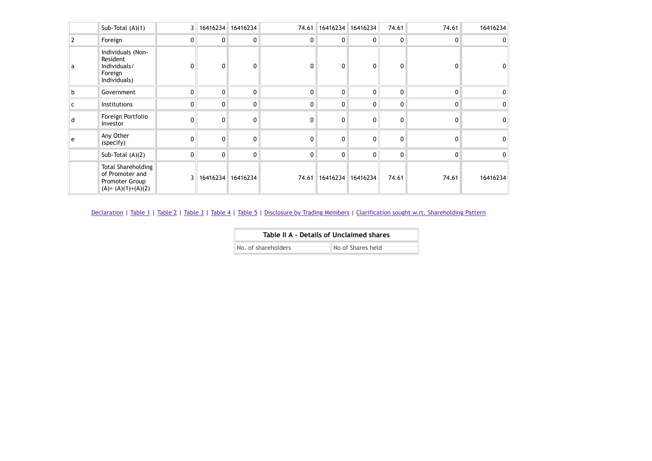|   | Sub-Total (A)(1)                                                                        |                 | 3   16416234   16416234 |                | 74.61        |              | 16416234 16416234 | 74.61 | 74.61          | 16416234    |
|---|-----------------------------------------------------------------------------------------|-----------------|-------------------------|----------------|--------------|--------------|-------------------|-------|----------------|-------------|
|   | Foreign                                                                                 | 0 <sup>1</sup>  | 0                       | 0 <sup>1</sup> | 0            | 0            | $\overline{0}$    | 0     | $\Omega$       | 0           |
| a | Individuals (Non-<br>Resident<br>Individuals/<br>Foreign<br>Individuals)                |                 | 0                       | 0              | $\Omega$     | 0            | 0                 | 0     | 0              | 0           |
| b | Government                                                                              | 0               | 0                       | $\mathbf{0}$   | $\mathbf{0}$ | $\mathbf{0}$ | $\mathbf{0}$      | 0     | $\mathbf{0}$   | 0           |
| c | Institutions                                                                            | 0               | 0                       | 0 <sup>1</sup> | 0            | 0            | $\overline{0}$    | 0     | 0 <sup>1</sup> | $\mathbf 0$ |
| d | Foreign Portfolio<br>Investor                                                           | O               | 0                       | $\mathbf{0}$   | $\mathbf{0}$ | 0            | 0                 | 0     | $\overline{0}$ | $\mathbf 0$ |
| e | Any Other<br>(specify)                                                                  | 0               | 0                       | $\mathbf{0}$   | $\mathbf{0}$ | 0            | 0                 | 0     | 0              | 0           |
|   | Sub-Total $(A)(2)$                                                                      | 0               | $\mathbf 0$             | 0 <sup>1</sup> | 0            | 0            | $\mathbf{0}$      | 0     | $\mathbf{0}$   | 0           |
|   | <b>Total Shareholding</b><br>of Promoter and<br>Promoter Group<br>$(A) = (A)(1)+(A)(2)$ | 3 <sup>  </sup> | 16416234                | 16416234       | 74.61        | 16416234     | 16416234          | 74.61 | 74.61          | 16416234    |

| Table II A - Details of Unclaimed shares |                   |
|------------------------------------------|-------------------|
| No. of shareholders                      | No of Shares held |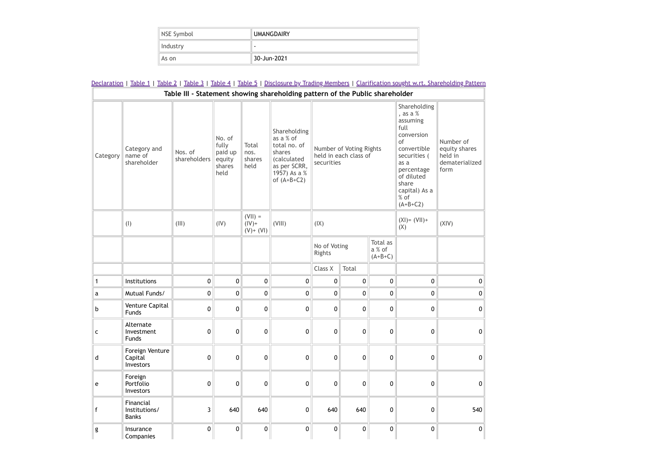| NSE Symbol | <b>UMANGDAIRY</b> |  |  |  |
|------------|-------------------|--|--|--|
| Industry   | -                 |  |  |  |
| As on      | 30-Jun-2021       |  |  |  |

|              | Declaration   Table 1   Table 2   Table 3   Table 4   Table 5   Disclosure by Trading Members   Clarification sought w.rt. Shareholding Pattern |                         |                                                        |                                       |                                                                                                                             |                        |                                                  |                                 |                                                                                                                                                                                       |                                                                 |
|--------------|-------------------------------------------------------------------------------------------------------------------------------------------------|-------------------------|--------------------------------------------------------|---------------------------------------|-----------------------------------------------------------------------------------------------------------------------------|------------------------|--------------------------------------------------|---------------------------------|---------------------------------------------------------------------------------------------------------------------------------------------------------------------------------------|-----------------------------------------------------------------|
|              |                                                                                                                                                 |                         |                                                        |                                       | Table III - Statement showing shareholding pattern of the Public shareholder                                                |                        |                                                  |                                 |                                                                                                                                                                                       |                                                                 |
| Category     | Category and<br>name of<br>shareholder                                                                                                          | Nos. of<br>shareholders | No. of<br>fully<br>paid up<br>equity<br>shares<br>held | Total<br>nos.<br>shares<br>held       | Shareholding<br>as a % of<br>total no. of<br>shares<br><i>(calculated)</i><br>as per SCRR,<br>1957) As a %<br>of $(A+B+C2)$ | securities             | Number of Voting Rights<br>held in each class of |                                 | Shareholding<br>, as a %<br>assuming<br>full<br>conversion<br>of<br>convertible<br>securities (<br>as a<br>percentage<br>of diluted<br>share<br>capital) As a<br>$%$ of<br>$(A+B+C2)$ | Number of<br>equity shares<br>held in<br>dematerialized<br>form |
|              | (1)                                                                                                                                             | (III)                   | (IV)                                                   | $(VII) =$<br>$(IV) +$<br>$(V) + (VI)$ | (VIII)                                                                                                                      | (IX)                   |                                                  |                                 | $(XI) = (VII) +$<br>(X)                                                                                                                                                               | (XIV)                                                           |
|              |                                                                                                                                                 |                         |                                                        |                                       |                                                                                                                             | No of Voting<br>Rights |                                                  | Total as<br>a % of<br>$(A+B+C)$ |                                                                                                                                                                                       |                                                                 |
|              |                                                                                                                                                 |                         |                                                        |                                       |                                                                                                                             | Class X                | Total                                            |                                 |                                                                                                                                                                                       |                                                                 |
| $\mathbf{1}$ | Institutions                                                                                                                                    | 0                       | 0                                                      | 0                                     | 0                                                                                                                           | $\pmb{0}$              | $\pmb{0}$                                        | $\pmb{0}$                       | 0                                                                                                                                                                                     | 0                                                               |
| a            | Mutual Funds/                                                                                                                                   | 0                       | 0                                                      | $\pmb{0}$                             | 0                                                                                                                           | 0                      | 0                                                | $\pmb{0}$                       | $\pmb{0}$                                                                                                                                                                             | 0                                                               |
| b            | Venture Capital<br><b>Funds</b>                                                                                                                 | 0                       | 0                                                      | 0                                     | 0                                                                                                                           | 0                      | 0                                                | $\pmb{0}$                       | 0                                                                                                                                                                                     | 0                                                               |
| C            | Alternate<br>Investment<br><b>Funds</b>                                                                                                         | 0                       | 0                                                      | $\pmb{0}$                             | 0                                                                                                                           | 0                      | 0                                                | $\mathbf 0$                     | 0                                                                                                                                                                                     | 0                                                               |
| d            | Foreign Venture<br>Capital<br>Investors                                                                                                         | 0                       | 0                                                      | 0                                     | 0                                                                                                                           | 0                      | 0                                                | 0                               | 0                                                                                                                                                                                     | 0                                                               |
| e            | Foreign<br>Portfolio<br>Investors                                                                                                               | 0                       | $\mathbf{0}$                                           | 0                                     | 0                                                                                                                           | $\Omega$               | 0                                                | 0                               | 0                                                                                                                                                                                     | $\mathbf{0}$                                                    |
| f            | Financial<br>Institutions/<br><b>Banks</b>                                                                                                      | 3                       | 640                                                    | 640                                   | 0                                                                                                                           | 640                    | 640                                              | 0                               | 0                                                                                                                                                                                     | 540                                                             |
| g            | Insurance<br>Companies                                                                                                                          | 0                       | 0                                                      | 0                                     | 0                                                                                                                           | 0                      | 0                                                | 0                               | $\mathbf 0$                                                                                                                                                                           | $\Omega$                                                        |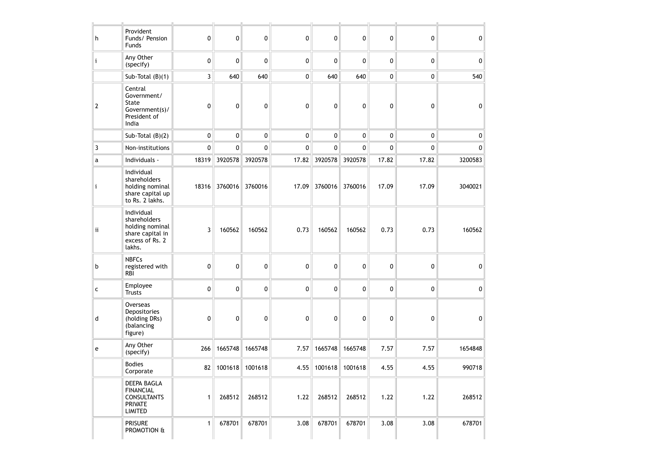| h  | Provident<br>Funds/ Pension<br>Funds                                                           | 0            | 0                      | 0       | 0           | 0                        | 0               | 0     | 0     | 0       |
|----|------------------------------------------------------------------------------------------------|--------------|------------------------|---------|-------------|--------------------------|-----------------|-------|-------|---------|
| Ĺ  | Any Other<br>(specify)                                                                         | 0            | 0                      | 0       | 0           | 0                        | 0               | 0     | 0     | 0       |
|    | Sub-Total $(B)(1)$                                                                             | 3            | 640                    | 640     | 0           | 640                      | 640             | 0     | 0     | 540     |
| 2  | Central<br>Government/<br>State<br>Government(s)/<br>President of<br>India                     | 0            | 0                      | 0       | 0           | 0                        | 0               | 0     | 0     | 0       |
|    | Sub-Total $(B)(2)$                                                                             | 0            | $\pmb{0}$              | 0       | 0           | 0                        | $\mathbf 0$     | 0     | 0     | 0       |
| 3  | Non-institutions                                                                               | 0            | $\mathbf 0$            | 0       | $\mathbf 0$ | 0                        | $\mathbf 0$     | 0     | 0     | 0       |
| a  | Individuals -                                                                                  | 18319        | 3920578                | 3920578 | 17.82       | 3920578                  | 3920578         | 17.82 | 17.82 | 3200583 |
| j. | Individual<br>shareholders<br>holding nominal<br>share capital up<br>to Rs. 2 lakhs.           | 18316        | 3760016                | 3760016 | 17.09       |                          | 3760016 3760016 | 17.09 | 17.09 | 3040021 |
| ij | Individual<br>shareholders<br>holding nominal<br>share capital in<br>excess of Rs. 2<br>lakhs. | 3            | 160562                 | 160562  | 0.73        | 160562                   | 160562          | 0.73  | 0.73  | 160562  |
| b  | <b>NBFCs</b><br>registered with<br><b>RBI</b>                                                  | 0            | 0                      | 0       | 0           | 0                        | 0               | 0     | 0     | 0       |
| c  | Employee<br><b>Trusts</b>                                                                      | 0            | 0                      | 0       | 0           | 0                        | 0               | 0     | 0     | 0       |
| d  | Overseas<br>Depositories<br>(holding DRs)<br>(balancing<br>figure)                             | 0            | 0                      | 0       | 0           | 0                        | 0               | 0     | 0     | 0       |
| e  | Any Other<br>(specify)                                                                         | 266          | 1665748                | 1665748 | 7.57        | 1665748                  | 1665748         | 7.57  | 7.57  | 1654848 |
|    | <b>Bodies</b><br>Corporate                                                                     |              | 82   1001618   1001618 |         |             | 4.55   1001618   1001618 |                 | 4.55  | 4.55  | 990718  |
|    | DEEPA BAGLA<br><b>FINANCIAL</b><br><b>CONSULTANTS</b><br><b>PRIVATE</b><br>LIMITED             | $\mathbf{1}$ | 268512                 | 268512  | 1.22        | 268512                   | 268512          | 1.22  | 1.22  | 268512  |
|    | <b>PRISURE</b><br>PROMOTION &                                                                  | 1            | 678701                 | 678701  | 3.08        | 678701                   | 678701          | 3.08  | 3.08  | 678701  |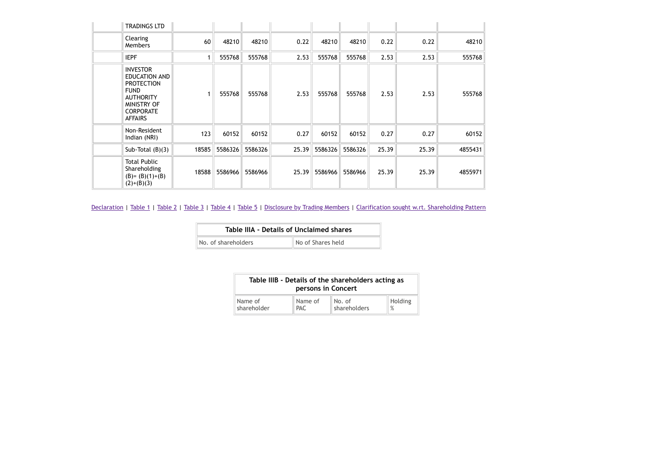| TRADINGS LTD                                                                                                                                         |       |         |         |       |         |         |       |       |         |
|------------------------------------------------------------------------------------------------------------------------------------------------------|-------|---------|---------|-------|---------|---------|-------|-------|---------|
| Clearing<br><b>Members</b>                                                                                                                           | 60    | 48210   | 48210   | 0.22  | 48210   | 48210   | 0.22  | 0.22  | 48210   |
| <b>IEPF</b>                                                                                                                                          | 1     | 555768  | 555768  | 2.53  | 555768  | 555768  | 2.53  | 2.53  | 555768  |
| <b>INVESTOR</b><br><b>EDUCATION AND</b><br><b>PROTECTION</b><br><b>FUND</b><br><b>AUTHORITY</b><br>MINISTRY OF<br><b>CORPORATE</b><br><b>AFFAIRS</b> |       | 555768  | 555768  | 2.53  | 555768  | 555768  | 2.53  | 2.53  | 555768  |
| Non-Resident<br>Indian (NRI)                                                                                                                         | 123   | 60152   | 60152   | 0.27  | 60152   | 60152   | 0.27  | 0.27  | 60152   |
| Sub-Total $(B)(3)$                                                                                                                                   | 18585 | 5586326 | 5586326 | 25.39 | 5586326 | 5586326 | 25.39 | 25.39 | 4855431 |
| <b>Total Public</b><br>Shareholding<br>$(B)=(B)(1)+(B)$<br>$(2)+(B)(3)$                                                                              | 18588 | 5586966 | 5586966 | 25.39 | 5586966 | 5586966 | 25.39 | 25.39 | 4855971 |

| Table IIIA - Details of Unclaimed shares |                   |  |  |  |  |  |  |
|------------------------------------------|-------------------|--|--|--|--|--|--|
| No. of shareholders                      | No of Shares held |  |  |  |  |  |  |

| Table IIIB - Details of the shareholders acting as<br>persons in Concert |                 |                        |              |  |  |  |
|--------------------------------------------------------------------------|-----------------|------------------------|--------------|--|--|--|
| Name of<br>shareholder                                                   | Name of<br>PAC. | No. of<br>shareholders | Holding<br>% |  |  |  |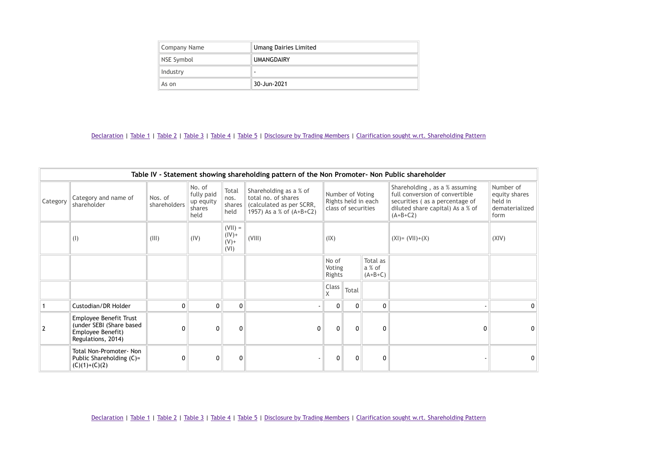| Company Name | <b>Umang Dairies Limited</b> |  |  |
|--------------|------------------------------|--|--|
| NSE Symbol   | <b>UMANGDAIRY</b>            |  |  |
| Industry     | -                            |  |  |
| As on        | 30-Jun-2021                  |  |  |

| Table IV - Statement showing shareholding pattern of the Non Promoter- Non Public shareholder |                                                                                               |                         |                                                     |                                          |                                                                                                       |                           |                                         |                                 |                                                                                                                                                     |                                                                 |
|-----------------------------------------------------------------------------------------------|-----------------------------------------------------------------------------------------------|-------------------------|-----------------------------------------------------|------------------------------------------|-------------------------------------------------------------------------------------------------------|---------------------------|-----------------------------------------|---------------------------------|-----------------------------------------------------------------------------------------------------------------------------------------------------|-----------------------------------------------------------------|
| Category                                                                                      | Category and name of<br>shareholder                                                           | Nos. of<br>shareholders | No. of<br>fully paid<br>up equity<br>shares<br>held | Total<br>nos.<br>shares<br>held          | Shareholding as a % of<br>total no. of shares<br>(calculated as per SCRR,<br>1957) As a % of (A+B+C2) |                           | Number of Voting<br>class of securities | Rights held in each             | Shareholding, as a % assuming<br>full conversion of convertible<br>securities (as a percentage of<br>diluted share capital) As a % of<br>$(A+B+C2)$ | Number of<br>equity shares<br>held in<br>dematerialized<br>form |
|                                                                                               | (1)                                                                                           | (III)                   | (IV)                                                | $(VII) =$<br>$(IV)$ +<br>$(V) +$<br>(VI) | (VIII)                                                                                                | (IX)                      |                                         |                                 | $(XI) = (VII)+(X)$                                                                                                                                  | (XIV)                                                           |
|                                                                                               |                                                                                               |                         |                                                     |                                          |                                                                                                       | No of<br>Voting<br>Rights |                                         | Total as<br>a % of<br>$(A+B+C)$ |                                                                                                                                                     |                                                                 |
|                                                                                               |                                                                                               |                         |                                                     |                                          |                                                                                                       | Class<br>X                | Total                                   |                                 |                                                                                                                                                     |                                                                 |
|                                                                                               | Custodian/DR Holder                                                                           | $\mathbf{0}$            | $\mathbf{0}$                                        | $\mathbf{0}$                             |                                                                                                       | 0 <sup>1</sup>            | $\mathbf{0}$                            | $\mathbf{0}$                    |                                                                                                                                                     | $\mathbf{0}$                                                    |
| $\overline{2}$                                                                                | Employee Benefit Trust<br>(under SEBI (Share based<br>Employee Benefit)<br>Regulations, 2014) |                         | $\mathbf{0}$                                        | $\Omega$                                 | $\Omega$                                                                                              | $\Omega$                  | $\Omega$                                | $\Omega$                        |                                                                                                                                                     | 0                                                               |
|                                                                                               | Total Non-Promoter- Non<br>Public Shareholding (C)=<br>$(C)(1)+(C)(2)$                        | 0                       | 0                                                   | 0                                        |                                                                                                       | $\mathbf{0}$              | 0                                       | 0                               |                                                                                                                                                     | 0                                                               |